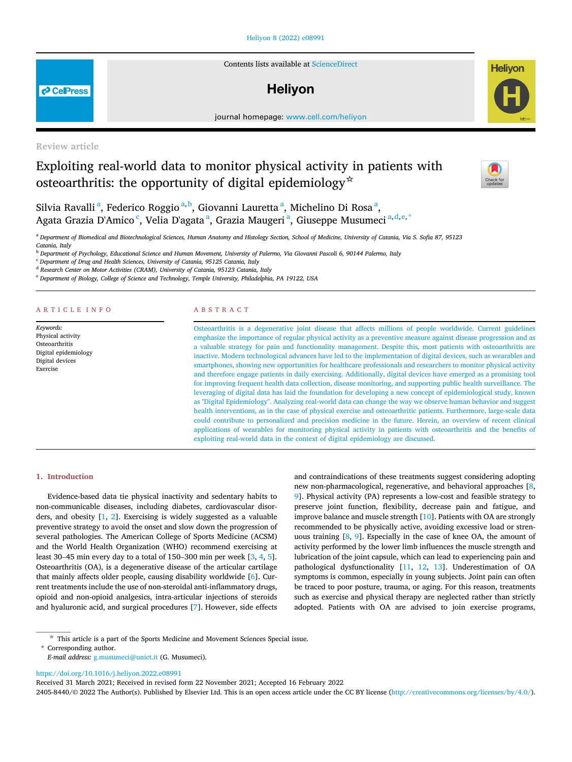# [Heliyon 8 \(2022\) e08991](https://doi.org/10.1016/j.heliyon.2022.e08991)

Contents lists available at [ScienceDirect](www.sciencedirect.com/science/journal/24058440)

# **Helivon**

journal homepage: [www.cell.com/heliyon](http://www.cell.com/heliyon)

Review article

# Exploiting real-world data to monitor physical activity in patients with osteoarthritis: the opportunity of digital epidemiology<sup>☆</sup>



**Helivon** 

Silvi[a](#page-0-0) Ravalli<sup>a</sup>, Federico Roggio<sup>[a,](#page-0-0) [b](#page-0-1)</sup>, Giovanni Lauretta<sup>a</sup>, Michelino Di Rosa<sup>a</sup>, Agata Grazia D'Ami[c](#page-0-2)o <sup>c</sup>, Veli[a](#page-0-0) D'agata <sup>a</sup>, Grazia Maugeri <sup>a</sup>, Giuseppe Musumeci <sup>[a,](#page-0-0)[d](#page-0-3),[e](#page-0-4),[\\*](#page-0-5)</sup>

<span id="page-0-0"></span><sup>a</sup> Department of Biomedical and Biotechnological Sciences, Human Anatomy and Histology Section, School of Medicine, University of Catania, Via S. Sofia 87, 95123 Catania, Italy

<span id="page-0-1"></span><sup>b</sup> Department of Psychology, Educational Science and Human Movement, University of Palermo, Via Giovanni Pascoli 6, 90144 Palermo, Italy

<span id="page-0-2"></span> $c$  Department of Drug and Health Sciences, University of Catania, 95125 Catania, Italy

<span id="page-0-3"></span><sup>d</sup> Research Center on Motor Activities (CRAM), University of Catania, 95123 Catania, Italy

<span id="page-0-4"></span><sup>e</sup> Department of Biology, College of Science and Technology, Temple University, Philadelphia, PA 19122, USA

# ARTICLE INFO

Keywords: Physical activity **Osteoarthritis** Digital epidemiology Digital devices Exercise

# ABSTRACT

Osteoarthritis is a degenerative joint disease that affects millions of people worldwide. Current guidelines emphasize the importance of regular physical activity as a preventive measure against disease progression and as a valuable strategy for pain and functionality management. Despite this, most patients with osteoarthritis are inactive. Modern technological advances have led to the implementation of digital devices, such as wearables and smartphones, showing new opportunities for healthcare professionals and researchers to monitor physical activity and therefore engage patients in daily exercising. Additionally, digital devices have emerged as a promising tool for improving frequent health data collection, disease monitoring, and supporting public health surveillance. The leveraging of digital data has laid the foundation for developing a new concept of epidemiological study, known as "Digital Epidemiology". Analyzing real-world data can change the way we observe human behavior and suggest health interventions, as in the case of physical exercise and osteoarthritic patients. Furthermore, large-scale data could contribute to personalized and precision medicine in the future. Herein, an overview of recent clinical applications of wearables for monitoring physical activity in patients with osteoarthritis and the benefits of exploiting real-world data in the context of digital epidemiology are discussed.

### 1. Introduction

Evidence-based data tie physical inactivity and sedentary habits to non-communicable diseases, including diabetes, cardiovascular disorders, and obesity [[1](#page-5-0), [2](#page-5-1)]. Exercising is widely suggested as a valuable preventive strategy to avoid the onset and slow down the progression of several pathologies. The American College of Sports Medicine (ACSM) and the World Health Organization (WHO) recommend exercising at least 30–45 min every day to a total of 150–300 min per week [[3](#page-5-2), [4](#page-5-3), [5](#page-5-4)]. Osteoarthritis (OA), is a degenerative disease of the articular cartilage that mainly affects older people, causing disability worldwide [\[6\]](#page-5-5). Current treatments include the use of non-steroidal anti-inflammatory drugs, opioid and non-opioid analgesics, intra-articular injections of steroids and hyaluronic acid, and surgical procedures [\[7\]](#page-5-6). However, side effects

and contraindications of these treatments suggest considering adopting new non-pharmacological, regenerative, and behavioral approaches [\[8,](#page-5-7) [9](#page-5-8)]. Physical activity (PA) represents a low-cost and feasible strategy to preserve joint function, flexibility, decrease pain and fatigue, and improve balance and muscle strength [\[10](#page-5-9)]. Patients with OA are strongly recommended to be physically active, avoiding excessive load or strenuous training [[8](#page-5-7), [9\]](#page-5-8). Especially in the case of knee OA, the amount of activity performed by the lower limb influences the muscle strength and lubrication of the joint capsule, which can lead to experiencing pain and pathological dysfunctionality [\[11](#page-5-10), [12,](#page-5-11) [13\]](#page-5-12). Underestimation of OA symptoms is common, especially in young subjects. Joint pain can often be traced to poor posture, trauma, or aging. For this reason, treatments such as exercise and physical therapy are neglected rather than strictly adopted. Patients with OA are advised to join exercise programs,

<span id="page-0-5"></span>\* Corresponding author.

<https://doi.org/10.1016/j.heliyon.2022.e08991>

Received 31 March 2021; Received in revised form 22 November 2021; Accepted 16 February 2022

2405-8440/© 2022 The Author(s). Published by Elsevier Ltd. This is an open access article under the CC BY license (<http://creativecommons.org/licenses/by/4.0/>).



<sup>☆</sup> This article is a part of the Sports Medicine and Movement Sciences Special issue.

E-mail address: [g.musumeci@unict.it](mailto:g.musumeci@unict.it) (G. Musumeci).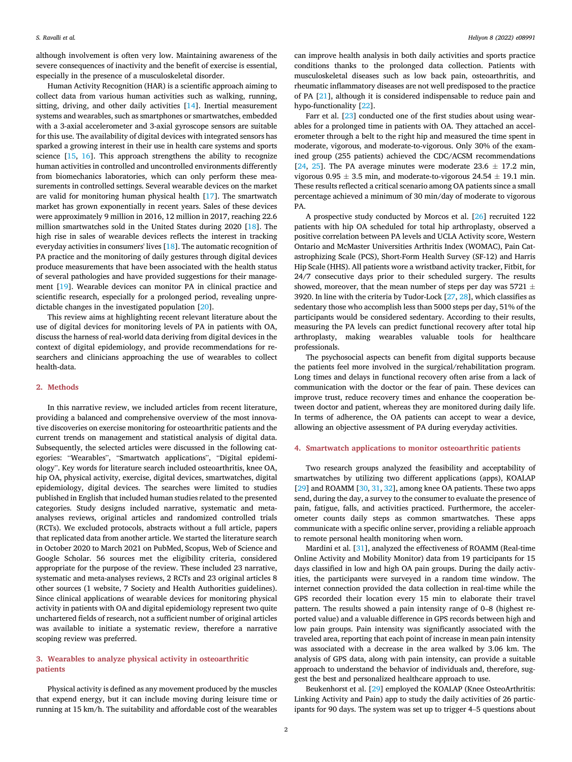although involvement is often very low. Maintaining awareness of the severe consequences of inactivity and the benefit of exercise is essential, especially in the presence of a musculoskeletal disorder.

Human Activity Recognition (HAR) is a scientific approach aiming to collect data from various human activities such as walking, running, sitting, driving, and other daily activities [[14\]](#page-5-13). Inertial measurement systems and wearables, such as smartphones or smartwatches, embedded with a 3-axial accelerometer and 3-axial gyroscope sensors are suitable for this use. The availability of digital devices with integrated sensors has sparked a growing interest in their use in health care systems and sports science [\[15,](#page-5-14) [16](#page-5-15)]. This approach strengthens the ability to recognize human activities in controlled and uncontrolled environments differently from biomechanics laboratories, which can only perform these measurements in controlled settings. Several wearable devices on the market are valid for monitoring human physical health [\[17](#page-5-16)]. The smartwatch market has grown exponentially in recent years. Sales of these devices were approximately 9 million in 2016, 12 million in 2017, reaching 22.6 million smartwatches sold in the United States during 2020 [\[18\]](#page-5-17). The high rise in sales of wearable devices reflects the interest in tracking everyday activities in consumers' lives [\[18](#page-5-17)]. The automatic recognition of PA practice and the monitoring of daily gestures through digital devices produce measurements that have been associated with the health status of several pathologies and have provided suggestions for their management [\[19](#page-5-18)]. Wearable devices can monitor PA in clinical practice and scientific research, especially for a prolonged period, revealing unpredictable changes in the investigated population [[20\]](#page-5-19).

This review aims at highlighting recent relevant literature about the use of digital devices for monitoring levels of PA in patients with OA, discuss the harness of real-world data deriving from digital devices in the context of digital epidemiology, and provide recommendations for researchers and clinicians approaching the use of wearables to collect health-data.

# 2. Methods

In this narrative review, we included articles from recent literature, providing a balanced and comprehensive overview of the most innovative discoveries on exercise monitoring for osteoarthritic patients and the current trends on management and statistical analysis of digital data. Subsequently, the selected articles were discussed in the following categories: "Wearables", "Smartwatch applications", "Digital epidemiology". Key words for literature search included osteoarthritis, knee OA, hip OA, physical activity, exercise, digital devices, smartwatches, digital epidemiology, digital devices. The searches were limited to studies published in English that included human studies related to the presented categories. Study designs included narrative, systematic and metaanalyses reviews, original articles and randomized controlled trials (RCTs). We excluded protocols, abstracts without a full article, papers that replicated data from another article. We started the literature search in October 2020 to March 2021 on PubMed, Scopus, Web of Science and Google Scholar. 56 sources met the eligibility criteria, considered appropriate for the purpose of the review. These included 23 narrative, systematic and meta-analyses reviews, 2 RCTs and 23 original articles 8 other sources (1 website, 7 Society and Health Authorities guidelines). Since clinical applications of wearable devices for monitoring physical activity in patients with OA and digital epidemiology represent two quite unchartered fields of research, not a sufficient number of original articles was available to initiate a systematic review, therefore a narrative scoping review was preferred.

# 3. Wearables to analyze physical activity in osteoarthritic patients

Physical activity is defined as any movement produced by the muscles that expend energy, but it can include moving during leisure time or running at 15 km/h. The suitability and affordable cost of the wearables can improve health analysis in both daily activities and sports practice conditions thanks to the prolonged data collection. Patients with musculoskeletal diseases such as low back pain, osteoarthritis, and rheumatic inflammatory diseases are not well predisposed to the practice of PA [\[21](#page-5-20)], although it is considered indispensable to reduce pain and hypo-functionality [[22\]](#page-5-21).

Farr et al. [\[23\]](#page-5-22) conducted one of the first studies about using wearables for a prolonged time in patients with OA. They attached an accelerometer through a belt to the right hip and measured the time spent in moderate, vigorous, and moderate-to-vigorous. Only 30% of the examined group (255 patients) achieved the CDC/ACSM recommendations [[24,](#page-5-23) [25\]](#page-5-24). The PA average minutes were moderate  $23.6 \pm 17.2$  min, vigorous  $0.95 \pm 3.5$  min, and moderate-to-vigorous  $24.54 \pm 19.1$  min. These results reflected a critical scenario among OA patients since a small percentage achieved a minimum of 30 min/day of moderate to vigorous PA.

A prospective study conducted by Morcos et al. [[26](#page-5-25)] recruited 122 patients with hip OA scheduled for total hip arthroplasty, observed a positive correlation between PA levels and UCLA Activity score, Western Ontario and McMaster Universities Arthritis Index (WOMAC), Pain Catastrophizing Scale (PCS), Short-Form Health Survey (SF-12) and Harris Hip Scale (HHS). All patients wore a wristband activity tracker, Fitbit, for 24/7 consecutive days prior to their scheduled surgery. The results showed, moreover, that the mean number of steps per day was 5721  $\pm$ 3920. In line with the criteria by Tudor-Lock [[27](#page-5-26), [28](#page-5-27)], which classifies as sedentary those who accomplish less than 5000 steps per day, 51% of the participants would be considered sedentary. According to their results, measuring the PA levels can predict functional recovery after total hip arthroplasty, making wearables valuable tools for healthcare professionals.

The psychosocial aspects can benefit from digital supports because the patients feel more involved in the surgical/rehabilitation program. Long times and delays in functional recovery often arise from a lack of communication with the doctor or the fear of pain. These devices can improve trust, reduce recovery times and enhance the cooperation between doctor and patient, whereas they are monitored during daily life. In terms of adherence, the OA patients can accept to wear a device, allowing an objective assessment of PA during everyday activities.

# 4. Smartwatch applications to monitor osteoarthritic patients

Two research groups analyzed the feasibility and acceptability of smartwatches by utilizing two different applications (apps), KOALAP [[29\]](#page-6-0) and ROAMM [\[30](#page-6-1), [31](#page-6-2), [32\]](#page-6-3), among knee OA patients. These two apps send, during the day, a survey to the consumer to evaluate the presence of pain, fatigue, falls, and activities practiced. Furthermore, the accelerometer counts daily steps as common smartwatches. These apps communicate with a specific online server, providing a reliable approach to remote personal health monitoring when worn.

Mardini et al. [[31\]](#page-6-2), analyzed the effectiveness of ROAMM (Real-time Online Activity and Mobility Monitor) data from 19 participants for 15 days classified in low and high OA pain groups. During the daily activities, the participants were surveyed in a random time window. The internet connection provided the data collection in real-time while the GPS recorded their location every 15 min to elaborate their travel pattern. The results showed a pain intensity range of 0–8 (highest reported value) and a valuable difference in GPS records between high and low pain groups. Pain intensity was significantly associated with the traveled area, reporting that each point of increase in mean pain intensity was associated with a decrease in the area walked by 3.06 km. The analysis of GPS data, along with pain intensity, can provide a suitable approach to understand the behavior of individuals and, therefore, suggest the best and personalized healthcare approach to use.

Beukenhorst et al. [\[29](#page-6-0)] employed the KOALAP (Knee OsteoArthritis: Linking Activity and Pain) app to study the daily activities of 26 participants for 90 days. The system was set up to trigger 4–5 questions about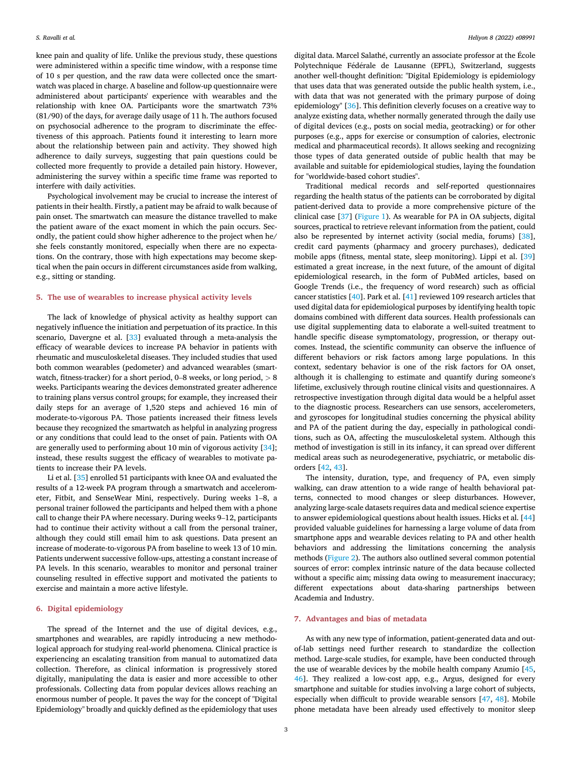knee pain and quality of life. Unlike the previous study, these questions were administered within a specific time window, with a response time of 10 s per question, and the raw data were collected once the smartwatch was placed in charge. A baseline and follow-up questionnaire were administered about participants' experience with wearables and the relationship with knee OA. Participants wore the smartwatch 73% (81/90) of the days, for average daily usage of 11 h. The authors focused on psychosocial adherence to the program to discriminate the effectiveness of this approach. Patients found it interesting to learn more about the relationship between pain and activity. They showed high adherence to daily surveys, suggesting that pain questions could be collected more frequently to provide a detailed pain history. However, administering the survey within a specific time frame was reported to interfere with daily activities.

Psychological involvement may be crucial to increase the interest of patients in their health. Firstly, a patient may be afraid to walk because of pain onset. The smartwatch can measure the distance travelled to make the patient aware of the exact moment in which the pain occurs. Secondly, the patient could show higher adherence to the project when he/ she feels constantly monitored, especially when there are no expectations. On the contrary, those with high expectations may become skeptical when the pain occurs in different circumstances aside from walking, e.g., sitting or standing.

# 5. The use of wearables to increase physical activity levels

The lack of knowledge of physical activity as healthy support can negatively influence the initiation and perpetuation of its practice. In this scenario, Davergne et al. [\[33](#page-6-4)] evaluated through a meta-analysis the efficacy of wearable devices to increase PA behavior in patients with rheumatic and musculoskeletal diseases. They included studies that used both common wearables (pedometer) and advanced wearables (smartwatch, fitness-tracker) for a short period, 0–8 weeks, or long period, <sup>&</sup>gt; <sup>8</sup> weeks. Participants wearing the devices demonstrated greater adherence to training plans versus control groups; for example, they increased their daily steps for an average of 1,520 steps and achieved 16 min of moderate-to-vigorous PA. Those patients increased their fitness levels because they recognized the smartwatch as helpful in analyzing progress or any conditions that could lead to the onset of pain. Patients with OA are generally used to performing about 10 min of vigorous activity [\[34](#page-6-5)]; instead, these results suggest the efficacy of wearables to motivate patients to increase their PA levels.

Li et al. [[35\]](#page-6-6) enrolled 51 participants with knee OA and evaluated the results of a 12-week PA program through a smartwatch and accelerometer, Fitbit, and SenseWear Mini, respectively. During weeks 1–8, a personal trainer followed the participants and helped them with a phone call to change their PA where necessary. During weeks 9–12, participants had to continue their activity without a call from the personal trainer, although they could still email him to ask questions. Data present an increase of moderate-to-vigorous PA from baseline to week 13 of 10 min. Patients underwent successive follow-ups, attesting a constant increase of PA levels. In this scenario, wearables to monitor and personal trainer counseling resulted in effective support and motivated the patients to exercise and maintain a more active lifestyle.

# 6. Digital epidemiology

The spread of the Internet and the use of digital devices, e.g., smartphones and wearables, are rapidly introducing a new methodological approach for studying real-world phenomena. Clinical practice is experiencing an escalating transition from manual to automatized data collection. Therefore, as clinical information is progressively stored digitally, manipulating the data is easier and more accessible to other professionals. Collecting data from popular devices allows reaching an enormous number of people. It paves the way for the concept of "Digital Epidemiology" broadly and quickly defined as the epidemiology that uses

digital data. Marcel Salathé, currently an associate professor at the École Polytechnique Fédérale de Lausanne (EPFL), Switzerland, suggests another well-thought definition: "Digital Epidemiology is epidemiology that uses data that was generated outside the public health system, i.e., with data that was not generated with the primary purpose of doing epidemiology" [[36\]](#page-6-7). This definition cleverly focuses on a creative way to analyze existing data, whether normally generated through the daily use of digital devices (e.g., posts on social media, geotracking) or for other purposes (e.g., apps for exercise or consumption of calories, electronic medical and pharmaceutical records). It allows seeking and recognizing those types of data generated outside of public health that may be available and suitable for epidemiological studies, laying the foundation for "worldwide-based cohort studies".

Traditional medical records and self-reported questionnaires regarding the health status of the patients can be corroborated by digital patient-derived data to provide a more comprehensive picture of the clinical case [[37\]](#page-6-8) ([Figure 1\)](#page-3-0). As wearable for PA in OA subjects, digital sources, practical to retrieve relevant information from the patient, could also be represented by internet activity (social media, forums) [\[38](#page-6-9)], credit card payments (pharmacy and grocery purchases), dedicated mobile apps (fitness, mental state, sleep monitoring). Lippi et al. [\[39](#page-6-10)] estimated a great increase, in the next future, of the amount of digital epidemiological research, in the form of PubMed articles, based on Google Trends (i.e., the frequency of word research) such as official cancer statistics [\[40](#page-6-11)]. Park et al. [\[41](#page-6-12)] reviewed 109 research articles that used digital data for epidemiological purposes by identifying health topic domains combined with different data sources. Health professionals can use digital supplementing data to elaborate a well-suited treatment to handle specific disease symptomatology, progression, or therapy outcomes. Instead, the scientific community can observe the influence of different behaviors or risk factors among large populations. In this context, sedentary behavior is one of the risk factors for OA onset, although it is challenging to estimate and quantify during someone's lifetime, exclusively through routine clinical visits and questionnaires. A retrospective investigation through digital data would be a helpful asset to the diagnostic process. Researchers can use sensors, accelerometers, and gyroscopes for longitudinal studies concerning the physical ability and PA of the patient during the day, especially in pathological conditions, such as OA, affecting the musculoskeletal system. Although this method of investigation is still in its infancy, it can spread over different medical areas such as neurodegenerative, psychiatric, or metabolic disorders [\[42](#page-6-13), [43\]](#page-6-14).

The intensity, duration, type, and frequency of PA, even simply walking, can draw attention to a wide range of health behavioral patterns, connected to mood changes or sleep disturbances. However, analyzing large-scale datasets requires data and medical science expertise to answer epidemiological questions about health issues. Hicks et al. [\[44](#page-6-15)] provided valuable guidelines for harnessing a large volume of data from smartphone apps and wearable devices relating to PA and other health behaviors and addressing the limitations concerning the analysis methods [\(Figure 2](#page-4-0)). The authors also outlined several common potential sources of error: complex intrinsic nature of the data because collected without a specific aim; missing data owing to measurement inaccuracy; different expectations about data-sharing partnerships between Academia and Industry.

### 7. Advantages and bias of metadata

As with any new type of information, patient-generated data and outof-lab settings need further research to standardize the collection method. Large-scale studies, for example, have been conducted through the use of wearable devices by the mobile health company Azumio [[45,](#page-6-16) [46\]](#page-6-17). They realized a low-cost app, e.g., Argus, designed for every smartphone and suitable for studies involving a large cohort of subjects, especially when difficult to provide wearable sensors [[47,](#page-6-18) [48\]](#page-6-19). Mobile phone metadata have been already used effectively to monitor sleep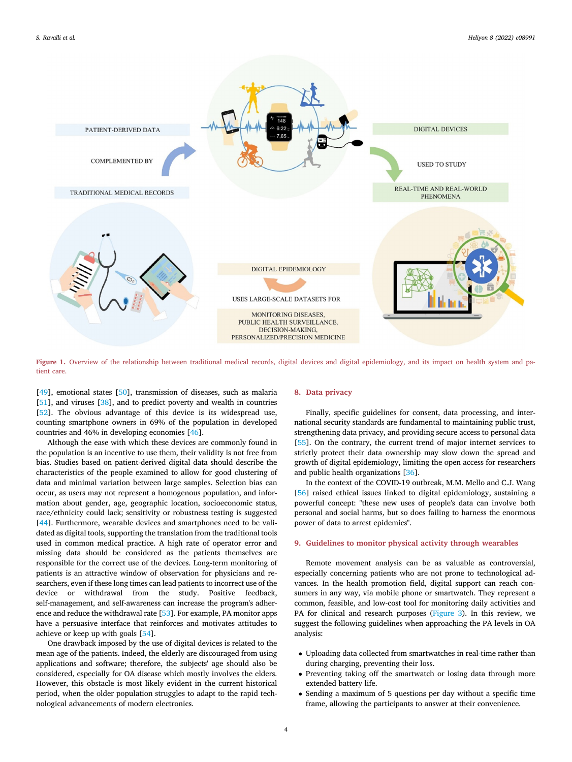<span id="page-3-0"></span>

Figure 1. Overview of the relationship between traditional medical records, digital devices and digital epidemiology, and its impact on health system and patient care.

[[49\]](#page-6-20), emotional states [\[50](#page-6-21)], transmission of diseases, such as malaria [[51\]](#page-6-22), and viruses [[38](#page-6-9)], and to predict poverty and wealth in countries [[52\]](#page-6-23). The obvious advantage of this device is its widespread use, counting smartphone owners in 69% of the population in developed countries and 46% in developing economies [[46\]](#page-6-17).

Although the ease with which these devices are commonly found in the population is an incentive to use them, their validity is not free from bias. Studies based on patient-derived digital data should describe the characteristics of the people examined to allow for good clustering of data and minimal variation between large samples. Selection bias can occur, as users may not represent a homogenous population, and information about gender, age, geographic location, socioeconomic status, race/ethnicity could lack; sensitivity or robustness testing is suggested [[44\]](#page-6-15). Furthermore, wearable devices and smartphones need to be validated as digital tools, supporting the translation from the traditional tools used in common medical practice. A high rate of operator error and missing data should be considered as the patients themselves are responsible for the correct use of the devices. Long-term monitoring of patients is an attractive window of observation for physicians and researchers, even if these long times can lead patients to incorrect use of the device or withdrawal from the study. Positive feedback, self-management, and self-awareness can increase the program's adherence and reduce the withdrawal rate [[53\]](#page-6-24). For example, PA monitor apps have a persuasive interface that reinforces and motivates attitudes to achieve or keep up with goals [\[54\]](#page-6-25).

One drawback imposed by the use of digital devices is related to the mean age of the patients. Indeed, the elderly are discouraged from using applications and software; therefore, the subjects' age should also be considered, especially for OA disease which mostly involves the elders. However, this obstacle is most likely evident in the current historical period, when the older population struggles to adapt to the rapid technological advancements of modern electronics.

# 8. Data privacy

Finally, specific guidelines for consent, data processing, and international security standards are fundamental to maintaining public trust, strengthening data privacy, and providing secure access to personal data [[55\]](#page-6-26). On the contrary, the current trend of major internet services to strictly protect their data ownership may slow down the spread and growth of digital epidemiology, limiting the open access for researchers and public health organizations [[36\]](#page-6-7).

In the context of the COVID-19 outbreak, M.M. Mello and C.J. Wang [[56\]](#page-6-27) raised ethical issues linked to digital epidemiology, sustaining a powerful concept: "these new uses of people's data can involve both personal and social harms, but so does failing to harness the enormous power of data to arrest epidemics".

#### 9. Guidelines to monitor physical activity through wearables

Remote movement analysis can be as valuable as controversial, especially concerning patients who are not prone to technological advances. In the health promotion field, digital support can reach consumers in any way, via mobile phone or smartwatch. They represent a common, feasible, and low-cost tool for monitoring daily activities and PA for clinical and research purposes ([Figure 3](#page-4-1)). In this review, we suggest the following guidelines when approaching the PA levels in OA analysis:

- Uploading data collected from smartwatches in real-time rather than during charging, preventing their loss.
- Preventing taking off the smartwatch or losing data through more extended battery life.
- Sending a maximum of 5 questions per day without a specific time frame, allowing the participants to answer at their convenience.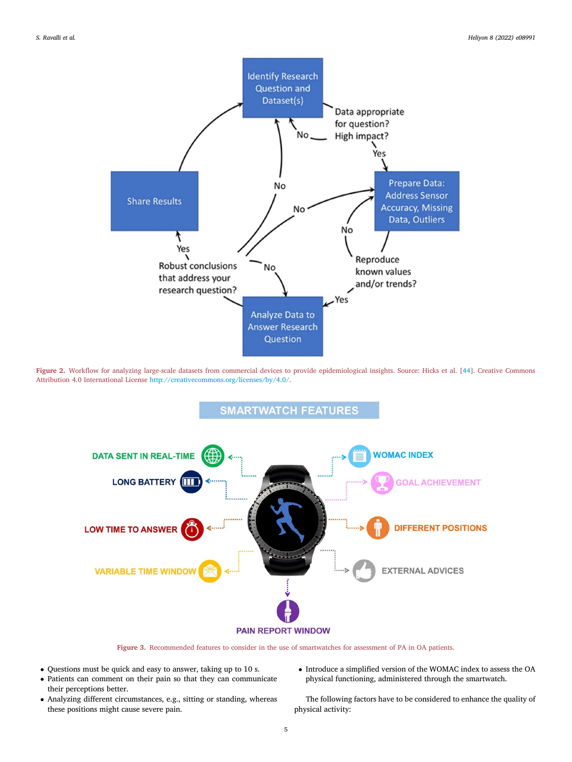<span id="page-4-0"></span>

<span id="page-4-1"></span>Figure 2. Workflow for analyzing large-scale datasets from commercial devices to provide epidemiological insights. Source: Hicks et al. [[44\]](#page-6-15). Creative Commons Attribution 4.0 International License <http://creativecommons.org/licenses/by/4.0/>.



Figure 3. Recommended features to consider in the use of smartwatches for assessment of PA in OA patients.

- Questions must be quick and easy to answer, taking up to 10 s.
- Patients can comment on their pain so that they can communicate their perceptions better.
- Analyzing different circumstances, e.g., sitting or standing, whereas these positions might cause severe pain.
- $\bullet$  Introduce a simplified version of the WOMAC index to assess the OA physical functioning, administered through the smartwatch.

The following factors have to be considered to enhance the quality of physical activity: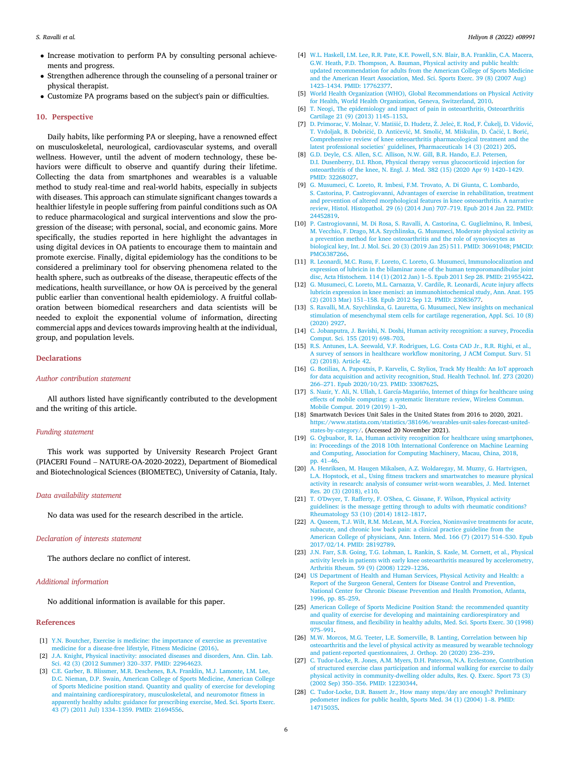- Increase motivation to perform PA by consulting personal achievements and progress.
- Strengthen adherence through the counseling of a personal trainer or physical therapist.
- Customize PA programs based on the subject's pain or difficulties.

## 10. Perspective

Daily habits, like performing PA or sleeping, have a renowned effect on musculoskeletal, neurological, cardiovascular systems, and overall wellness. However, until the advent of modern technology, these behaviors were difficult to observe and quantify during their lifetime. Collecting the data from smartphones and wearables is a valuable method to study real-time and real-world habits, especially in subjects with diseases. This approach can stimulate significant changes towards a healthier lifestyle in people suffering from painful conditions such as OA to reduce pharmacological and surgical interventions and slow the progression of the disease; with personal, social, and economic gains. More specifically, the studies reported in here highlight the advantages in using digital devices in OA patients to encourage them to maintain and promote exercise. Finally, digital epidemiology has the conditions to be considered a preliminary tool for observing phenomena related to the health sphere, such as outbreaks of the disease, therapeutic effects of the medications, health surveillance, or how OA is perceived by the general public earlier than conventional health epidemiology. A fruitful collaboration between biomedical researchers and data scientists will be needed to exploit the exponential volume of information, directing commercial apps and devices towards improving health at the individual, group, and population levels.

### **Declarations**

# Author contribution statement

All authors listed have significantly contributed to the development and the writing of this article.

# Funding statement

This work was supported by University Research Project Grant (PIACERI Found – NATURE-OA-2020-2022), Department of Biomedical and Biotechnological Sciences (BIOMETEC), University of Catania, Italy.

#### Data availability statement

No data was used for the research described in the article.

#### Declaration of interests statement

The authors declare no conflict of interest.

# Additional information

No additional information is available for this paper.

#### <span id="page-5-0"></span>References

- <span id="page-5-1"></span>[1] [Y.N. Boutcher, Exercise is medicine: the importance of exercise as preventative](http://refhub.elsevier.com/S2405-8440(22)00279-1/sref1) [medicine for a disease-free lifestyle, Fitness Medicine \(2016\)](http://refhub.elsevier.com/S2405-8440(22)00279-1/sref1).
- <span id="page-5-2"></span>[2] [J.A. Knight, Physical inactivity: associated diseases and disorders, Ann. Clin. Lab.](http://refhub.elsevier.com/S2405-8440(22)00279-1/sref2) [Sci. 42 \(3\) \(2012 Summer\) 320](http://refhub.elsevier.com/S2405-8440(22)00279-1/sref2)–[337. PMID: 22964623.](http://refhub.elsevier.com/S2405-8440(22)00279-1/sref2)
- [3] [C.E. Garber, B. Blissmer, M.R. Deschenes, B.A. Franklin, M.J. Lamonte, I.M. Lee,](http://refhub.elsevier.com/S2405-8440(22)00279-1/sref3) [D.C. Nieman, D.P. Swain, American College of Sports Medicine, American College](http://refhub.elsevier.com/S2405-8440(22)00279-1/sref3) [of Sports Medicine position stand. Quantity and quality of exercise for developing](http://refhub.elsevier.com/S2405-8440(22)00279-1/sref3) [and maintaining cardiorespiratory, musculoskeletal, and neuromotor](http://refhub.elsevier.com/S2405-8440(22)00279-1/sref3) fitness in [apparently healthy adults: guidance for prescribing exercise, Med. Sci. Sports Exerc.](http://refhub.elsevier.com/S2405-8440(22)00279-1/sref3) [43 \(7\) \(2011 Jul\) 1334](http://refhub.elsevier.com/S2405-8440(22)00279-1/sref3)–[1359. PMID: 21694556.](http://refhub.elsevier.com/S2405-8440(22)00279-1/sref3)
- <span id="page-5-3"></span>[4] [W.L. Haskell, I.M. Lee, R.R. Pate, K.E. Powell, S.N. Blair, B.A. Franklin, C.A. Macera,](http://refhub.elsevier.com/S2405-8440(22)00279-1/sref4) [G.W. Heath, P.D. Thompson, A. Bauman, Physical activity and public health:](http://refhub.elsevier.com/S2405-8440(22)00279-1/sref4) [updated recommendation for adults from the American College of Sports Medicine](http://refhub.elsevier.com/S2405-8440(22)00279-1/sref4) [and the American Heart Association, Med. Sci. Sports Exerc. 39 \(8\) \(2007 Aug\)](http://refhub.elsevier.com/S2405-8440(22)00279-1/sref4) [1423](http://refhub.elsevier.com/S2405-8440(22)00279-1/sref4)–[1434. PMID: 17762377.](http://refhub.elsevier.com/S2405-8440(22)00279-1/sref4)
- <span id="page-5-4"></span>[5] [World Health Organization \(WHO\), Global Recommendations on Physical Activity](http://refhub.elsevier.com/S2405-8440(22)00279-1/sref5) [for Health, World Health Organization, Geneva, Switzerland, 2010.](http://refhub.elsevier.com/S2405-8440(22)00279-1/sref5)
- <span id="page-5-5"></span>[6] [T. Neogi, The epidemiology and impact of pain in osteoarthritis, Osteoarthritis](http://refhub.elsevier.com/S2405-8440(22)00279-1/sref6) [Cartilage 21 \(9\) \(2013\) 1145](http://refhub.elsevier.com/S2405-8440(22)00279-1/sref6)–[1153](http://refhub.elsevier.com/S2405-8440(22)00279-1/sref6).
- <span id="page-5-6"></span>[7] [D. Primorac, V. Molnar, V. Mati](http://refhub.elsevier.com/S2405-8440(22)00279-1/sref7)š[i](http://refhub.elsevier.com/S2405-8440(22)00279-1/sref7)ć[, D. Hudetz,](http://refhub.elsevier.com/S2405-8440(22)00279-1/sref7) Ž. Jeleč[, E. Rod, F.](http://refhub.elsevier.com/S2405-8440(22)00279-1/sref7) Č[ukelj, D. Vidovi](http://refhub.elsevier.com/S2405-8440(22)00279-1/sref7)ć[,](http://refhub.elsevier.com/S2405-8440(22)00279-1/sref7) [T. Vrdoljak, B. Dobri](http://refhub.elsevier.com/S2405-8440(22)00279-1/sref7)č[i](http://refhub.elsevier.com/S2405-8440(22)00279-1/sref7)ć[, D. Anti](http://refhub.elsevier.com/S2405-8440(22)00279-1/sref7)č[evi](http://refhub.elsevier.com/S2405-8440(22)00279-1/sref7)ć[, M. Smoli](http://refhub.elsevier.com/S2405-8440(22)00279-1/sref7)ć[, M. Mi](http://refhub.elsevier.com/S2405-8440(22)00279-1/sref7)škulin, D. Ć[a](http://refhub.elsevier.com/S2405-8440(22)00279-1/sref7)ćić[, I. Bori](http://refhub.elsevier.com/S2405-8440(22)00279-1/sref7)ć, [Comprehensive review of knee osteoarthritis pharmacological treatment and the](http://refhub.elsevier.com/S2405-8440(22)00279-1/sref7) latest professional societies' [guidelines, Pharmaceuticals 14 \(3\) \(2021\) 205.](http://refhub.elsevier.com/S2405-8440(22)00279-1/sref7)
- <span id="page-5-7"></span>[8] [G.D. Deyle, C.S. Allen, S.C. Allison, N.W. Gill, B.R. Hando, E.J. Petersen,](http://refhub.elsevier.com/S2405-8440(22)00279-1/sref8) [D.I. Dusenberry, D.I. Rhon, Physical therapy versus glucocorticoid injection for](http://refhub.elsevier.com/S2405-8440(22)00279-1/sref8) [osteoarthritis of the knee, N. Engl. J. Med. 382 \(15\) \(2020 Apr 9\) 1420](http://refhub.elsevier.com/S2405-8440(22)00279-1/sref8)–[1429.](http://refhub.elsevier.com/S2405-8440(22)00279-1/sref8) [PMID: 32268027](http://refhub.elsevier.com/S2405-8440(22)00279-1/sref8).
- <span id="page-5-8"></span>[9] [G. Musumeci, C. Loreto, R. Imbesi, F.M. Trovato, A. Di Giunta, C. Lombardo,](http://refhub.elsevier.com/S2405-8440(22)00279-1/sref9) [S. Castorina, P. Castrogiovanni, Advantages of exercise in rehabilitation, treatment](http://refhub.elsevier.com/S2405-8440(22)00279-1/sref9)s [and prevention of altered morphological features in knee osteoarthritis. A narrative](http://refhub.elsevier.com/S2405-8440(22)00279-1/sref9) [review, Histol. Histopathol. 29 \(6\) \(2014 Jun\) 707](http://refhub.elsevier.com/S2405-8440(22)00279-1/sref9)–[719. Epub 2014 Jan 22. PMID:](http://refhub.elsevier.com/S2405-8440(22)00279-1/sref9) [24452819.](http://refhub.elsevier.com/S2405-8440(22)00279-1/sref9)
- <span id="page-5-9"></span>[10] [P. Castrogiovanni, M. Di Rosa, S. Ravalli, A. Castorina, C. Guglielmino, R. Imbesi,](http://refhub.elsevier.com/S2405-8440(22)00279-1/sref10) [M. Vecchio, F. Drago, M.A. Szychlinska, G. Musumeci, Moderate physical activity as](http://refhub.elsevier.com/S2405-8440(22)00279-1/sref10) [a prevention method for knee osteoarthritis and the role of synoviocytes as](http://refhub.elsevier.com/S2405-8440(22)00279-1/sref10) [biological key, Int. J. Mol. Sci. 20 \(3\) \(2019 Jan 25\) 511. PMID: 30691048; PMCID:](http://refhub.elsevier.com/S2405-8440(22)00279-1/sref10) [PMC6387266](http://refhub.elsevier.com/S2405-8440(22)00279-1/sref10).
- <span id="page-5-10"></span>[11] [R. Leonardi, M.C. Rusu, F. Loreto, C. Loreto, G. Musumeci, Immunolocalization and](http://refhub.elsevier.com/S2405-8440(22)00279-1/sref11) [expression of lubricin in the bilaminar zone of the human temporomandibular joint](http://refhub.elsevier.com/S2405-8440(22)00279-1/sref11) [disc, Acta Histochem. 114 \(1\) \(2012 Jan\) 1](http://refhub.elsevier.com/S2405-8440(22)00279-1/sref11)–[5. Epub 2011 Sep 28. PMID: 21955422.](http://refhub.elsevier.com/S2405-8440(22)00279-1/sref11)
- <span id="page-5-11"></span>[12] [G. Musumeci, C. Loreto, M.L. Carnazza, V. Cardile, R. Leonardi, Acute injury affects](http://refhub.elsevier.com/S2405-8440(22)00279-1/sref12) [lubricin expression in knee menisci: an immunohistochemical study, Ann. Anat. 195](http://refhub.elsevier.com/S2405-8440(22)00279-1/sref12) [\(2\) \(2013 Mar\) 151](http://refhub.elsevier.com/S2405-8440(22)00279-1/sref12)–[158. Epub 2012 Sep 12. PMID: 23083677](http://refhub.elsevier.com/S2405-8440(22)00279-1/sref12).
- <span id="page-5-12"></span>[13] [S. Ravalli, M.A. Szychlinska, G. Lauretta, G. Musumeci, New insights on mechanical](http://refhub.elsevier.com/S2405-8440(22)00279-1/sref13) [stimulation of mesenchymal stem cells for cartilage regeneration, Appl. Sci. 10 \(8\)](http://refhub.elsevier.com/S2405-8440(22)00279-1/sref13) [\(2020\) 2927.](http://refhub.elsevier.com/S2405-8440(22)00279-1/sref13)
- <span id="page-5-13"></span>[14] [C. Jobanputra, J. Bavishi, N. Doshi, Human activity recognition: a survey, Procedia](http://refhub.elsevier.com/S2405-8440(22)00279-1/sref14) [Comput. Sci. 155 \(2019\) 698](http://refhub.elsevier.com/S2405-8440(22)00279-1/sref14)–[703.](http://refhub.elsevier.com/S2405-8440(22)00279-1/sref14)
- <span id="page-5-14"></span>[15] [R.S. Antunes, L.A. Seewald, V.F. Rodrigues, L.G. Costa CAD Jr., R.R. Righi, et al.,](http://refhub.elsevier.com/S2405-8440(22)00279-1/sref15) A survey of sensors in healthcare workfl[ow monitoring, J ACM Comput. Surv. 51](http://refhub.elsevier.com/S2405-8440(22)00279-1/sref15) [\(2\) \(2018\). Article 42.](http://refhub.elsevier.com/S2405-8440(22)00279-1/sref15)
- <span id="page-5-15"></span>[16] [G. Botilias, A. Papoutsis, P. Karvelis, C. Stylios, Track My Health: An IoT approach](http://refhub.elsevier.com/S2405-8440(22)00279-1/sref16) [for data acquisition and activity recognition, Stud. Health Technol. Inf. 273 \(2020\)](http://refhub.elsevier.com/S2405-8440(22)00279-1/sref16) [266](http://refhub.elsevier.com/S2405-8440(22)00279-1/sref16)–[271. Epub 2020/10/23. PMID: 33087625](http://refhub.elsevier.com/S2405-8440(22)00279-1/sref16).
- <span id="page-5-16"></span>[17] [S. Nazir, Y. Ali, N. Ullah, I. García-Magari](http://refhub.elsevier.com/S2405-8440(22)00279-1/sref17)n[o, Internet of things for healthcare using](http://refhub.elsevier.com/S2405-8440(22)00279-1/sref17) ~ [effects of mobile computing: a systematic literature review, Wireless Commun.](http://refhub.elsevier.com/S2405-8440(22)00279-1/sref17) [Mobile Comput. 2019 \(2019\) 1](http://refhub.elsevier.com/S2405-8440(22)00279-1/sref17)–[20](http://refhub.elsevier.com/S2405-8440(22)00279-1/sref17).
- <span id="page-5-17"></span>[18] Smartwatch Devices Unit Sales in the United States from 2016 to 2020, 2021. [https://www.statista.com/statistics/381696/wearables-unit-sales-forecast-united](https://www.statista.com/statistics/381696/wearables-unit-sales-forecast-united-states-by-category/)[states-by-category/.](https://www.statista.com/statistics/381696/wearables-unit-sales-forecast-united-states-by-category/) (Accessed 20 November 2021).
- <span id="page-5-18"></span>[19] [G. Ogbuabor, R. La, Human activity recognition for healthcare using smartphones,](http://refhub.elsevier.com/S2405-8440(22)00279-1/sref19) [in: Proceedings of the 2018 10th International Conference on Machine Learning](http://refhub.elsevier.com/S2405-8440(22)00279-1/sref19) [and Computing, Association for Computing Machinery, Macau, China, 2018,](http://refhub.elsevier.com/S2405-8440(22)00279-1/sref19) [pp. 41](http://refhub.elsevier.com/S2405-8440(22)00279-1/sref19)–[46](http://refhub.elsevier.com/S2405-8440(22)00279-1/sref19).
- <span id="page-5-19"></span>[20] [A. Henriksen, M. Haugen Mikalsen, A.Z. Woldaregay, M. Muzny, G. Hartvigsen,](http://refhub.elsevier.com/S2405-8440(22)00279-1/sref20) L.A. Hopstock, et al., Using fi[tness trackers and smartwatches to measure physical](http://refhub.elsevier.com/S2405-8440(22)00279-1/sref20) [activity in research: analysis of consumer wrist-worn wearables, J. Med. Internet](http://refhub.elsevier.com/S2405-8440(22)00279-1/sref20) [Res. 20 \(3\) \(2018\), e110](http://refhub.elsevier.com/S2405-8440(22)00279-1/sref20).
- <span id="page-5-20"></span>[21] [T. O'Dwyer, T. Rafferty, F. O'Shea, C. Gissane, F. Wilson, Physical activity](http://refhub.elsevier.com/S2405-8440(22)00279-1/sref21) [guidelines: is the message getting through to adults with rheumatic conditions?](http://refhub.elsevier.com/S2405-8440(22)00279-1/sref21) [Rheumatology 53 \(10\) \(2014\) 1812](http://refhub.elsevier.com/S2405-8440(22)00279-1/sref21)–[1817](http://refhub.elsevier.com/S2405-8440(22)00279-1/sref21).
- <span id="page-5-21"></span>[22] [A. Qaseem, T.J. Wilt, R.M. McLean, M.A. Forciea, Noninvasive treatments for acute,](http://refhub.elsevier.com/S2405-8440(22)00279-1/sref22) [subacute, and chronic low back pain: a clinical practice guideline from the](http://refhub.elsevier.com/S2405-8440(22)00279-1/sref22) [American College of physicians, Ann. Intern. Med. 166 \(7\) \(2017\) 514](http://refhub.elsevier.com/S2405-8440(22)00279-1/sref22)–[530. Epub](http://refhub.elsevier.com/S2405-8440(22)00279-1/sref22) [2017/02/14. PMID: 28192789](http://refhub.elsevier.com/S2405-8440(22)00279-1/sref22).
- <span id="page-5-22"></span>[23] [J.N. Farr, S.B. Going, T.G. Lohman, L. Rankin, S. Kasle, M. Cornett, et al., Physical](http://refhub.elsevier.com/S2405-8440(22)00279-1/sref23) [activity levels in patients with early knee osteoarthritis measured by accelerometry,](http://refhub.elsevier.com/S2405-8440(22)00279-1/sref23) [Arthritis Rheum. 59 \(9\) \(2008\) 1229](http://refhub.elsevier.com/S2405-8440(22)00279-1/sref23)–[1236](http://refhub.elsevier.com/S2405-8440(22)00279-1/sref23).
- <span id="page-5-23"></span>[24] [US Department of Health and Human Services, Physical Activity and Health: a](http://refhub.elsevier.com/S2405-8440(22)00279-1/sref24) [Report of the Surgeon General, Centers for Disease Control and Prevention,](http://refhub.elsevier.com/S2405-8440(22)00279-1/sref24) [National Center for Chronic Disease Prevention and Health Promotion, Atlanta,](http://refhub.elsevier.com/S2405-8440(22)00279-1/sref24) [1996, pp. 85](http://refhub.elsevier.com/S2405-8440(22)00279-1/sref24)–[259](http://refhub.elsevier.com/S2405-8440(22)00279-1/sref24).
- <span id="page-5-24"></span>[25] [American College of Sports Medicine Position Stand: the recommended quantity](http://refhub.elsevier.com/S2405-8440(22)00279-1/sref25) [and quality of exercise for developing and maintaining cardiorespiratory and](http://refhub.elsevier.com/S2405-8440(22)00279-1/sref25) muscular fitness, and fl[exibility in healthy adults, Med. Sci. Sports Exerc. 30 \(1998\)](http://refhub.elsevier.com/S2405-8440(22)00279-1/sref25) [975](http://refhub.elsevier.com/S2405-8440(22)00279-1/sref25)–[991.](http://refhub.elsevier.com/S2405-8440(22)00279-1/sref25)
- <span id="page-5-25"></span>[26] [M.W. Morcos, M.G. Teeter, L.E. Somerville, B. Lanting, Correlation between hip](http://refhub.elsevier.com/S2405-8440(22)00279-1/sref26) [osteoarthritis and the level of physical activity as measured by wearable technology](http://refhub.elsevier.com/S2405-8440(22)00279-1/sref26) [and patient-reported questionnaires, J. Orthop. 20 \(2020\) 236](http://refhub.elsevier.com/S2405-8440(22)00279-1/sref26)–[239.](http://refhub.elsevier.com/S2405-8440(22)00279-1/sref26)
- <span id="page-5-26"></span>[27] [C. Tudor-Locke, R. Jones, A.M. Myers, D.H. Paterson, N.A. Ecclestone, Contribution](http://refhub.elsevier.com/S2405-8440(22)00279-1/sref27) [of structured exercise class participation and informal walking for exercise to daily](http://refhub.elsevier.com/S2405-8440(22)00279-1/sref27) [physical activity in community-dwelling older adults, Res. Q. Exerc. Sport 73 \(3\)](http://refhub.elsevier.com/S2405-8440(22)00279-1/sref27) [\(2002 Sep\) 350](http://refhub.elsevier.com/S2405-8440(22)00279-1/sref27)–[356. PMID: 12230344](http://refhub.elsevier.com/S2405-8440(22)00279-1/sref27).
- <span id="page-5-27"></span>[28] [C. Tudor-Locke, D.R. Bassett Jr., How many steps/day are enough? Preliminary](http://refhub.elsevier.com/S2405-8440(22)00279-1/sref28) [pedometer indices for public health, Sports Med. 34 \(1\) \(2004\) 1](http://refhub.elsevier.com/S2405-8440(22)00279-1/sref28)–[8. PMID:](http://refhub.elsevier.com/S2405-8440(22)00279-1/sref28) [14715035.](http://refhub.elsevier.com/S2405-8440(22)00279-1/sref28)